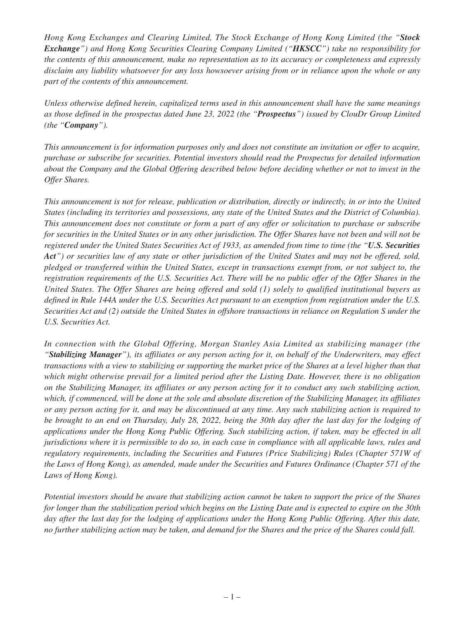*Hong Kong Exchanges and Clearing Limited, The Stock Exchange of Hong Kong Limited (the "Stock Exchange") and Hong Kong Securities Clearing Company Limited ("HKSCC") take no responsibility for the contents of this announcement, make no representation as to its accuracy or completeness and expressly disclaim any liability whatsoever for any loss howsoever arising from or in reliance upon the whole or any part of the contents of this announcement.*

*Unless otherwise defined herein, capitalized terms used in this announcement shall have the same meanings as those defined in the prospectus dated June 23, 2022 (the "Prospectus") issued by ClouDr Group Limited (the "Company").*

*This announcement is for information purposes only and does not constitute an invitation or offer to acquire, purchase or subscribe for securities. Potential investors should read the Prospectus for detailed information about the Company and the Global Offering described below before deciding whether or not to invest in the Offer Shares.*

*This announcement is not for release, publication or distribution, directly or indirectly, in or into the United States (including its territories and possessions, any state of the United States and the District of Columbia). This announcement does not constitute or form a part of any offer or solicitation to purchase or subscribe for securities in the United States or in any other jurisdiction. The Offer Shares have not been and will not be registered under the United States Securities Act of 1933, as amended from time to time (the "U.S. Securities Act") or securities law of any state or other jurisdiction of the United States and may not be offered, sold, pledged or transferred within the United States, except in transactions exempt from, or not subject to, the registration requirements of the U.S. Securities Act. There will be no public offer of the Offer Shares in the United States. The Offer Shares are being offered and sold (1) solely to qualified institutional buyers as defined in Rule 144A under the U.S. Securities Act pursuant to an exemption from registration under the U.S. Securities Act and (2) outside the United States in offshore transactions in reliance on Regulation S under the U.S. Securities Act.*

*In connection with the Global Offering, Morgan Stanley Asia Limited as stabilizing manager (the "Stabilizing Manager"), its affiliates or any person acting for it, on behalf of the Underwriters, may effect transactions with a view to stabilizing or supporting the market price of the Shares at a level higher than that which might otherwise prevail for a limited period after the Listing Date. However, there is no obligation on the Stabilizing Manager, its affiliates or any person acting for it to conduct any such stabilizing action, which, if commenced, will be done at the sole and absolute discretion of the Stabilizing Manager, its affiliates or any person acting for it, and may be discontinued at any time. Any such stabilizing action is required to be brought to an end on Thursday, July 28, 2022, being the 30th day after the last day for the lodging of applications under the Hong Kong Public Offering. Such stabilizing action, if taken, may be effected in all jurisdictions where it is permissible to do so, in each case in compliance with all applicable laws, rules and regulatory requirements, including the Securities and Futures (Price Stabilizing) Rules (Chapter 571W of the Laws of Hong Kong), as amended, made under the Securities and Futures Ordinance (Chapter 571 of the Laws of Hong Kong).*

*Potential investors should be aware that stabilizing action cannot be taken to support the price of the Shares for longer than the stabilization period which begins on the Listing Date and is expected to expire on the 30th day after the last day for the lodging of applications under the Hong Kong Public Offering. After this date, no further stabilizing action may be taken, and demand for the Shares and the price of the Shares could fall.*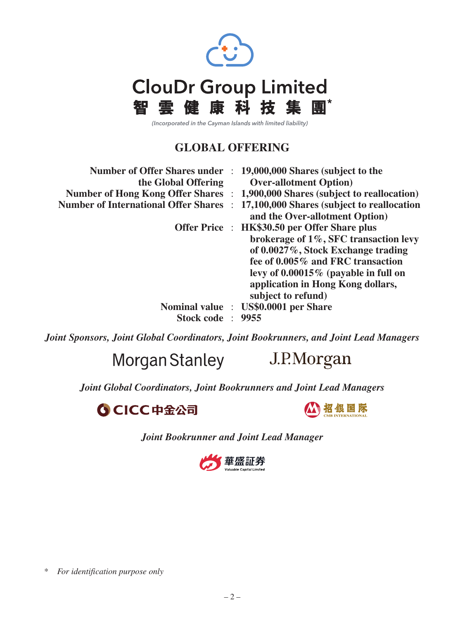

(Incorporated in the Cayman Islands with limited liability)

# **GLOBAL OFFERING**

| <b>Number of Offer Shares under</b><br>the Global Offering | 19,000,000 Shares (subject to the<br><b>Over-allotment Option</b> )                                                                                                                                                                                                    |
|------------------------------------------------------------|------------------------------------------------------------------------------------------------------------------------------------------------------------------------------------------------------------------------------------------------------------------------|
|                                                            | Number of Hong Kong Offer Shares : 1,900,000 Shares (subject to reallocation)                                                                                                                                                                                          |
| <b>Number of International Offer Shares :</b>              | 17,100,000 Shares (subject to reallocation<br>and the Over-allotment Option)                                                                                                                                                                                           |
|                                                            | Offer Price : HK\$30.50 per Offer Share plus<br>brokerage of 1%, SFC transaction levy<br>of 0.0027%, Stock Exchange trading<br>fee of 0.005% and FRC transaction<br>levy of $0.00015\%$ (payable in full on<br>application in Hong Kong dollars,<br>subject to refund) |
| Stock code : 9955                                          | Nominal value : US\$0.0001 per Share                                                                                                                                                                                                                                   |

*Joint Sponsors, Joint Global Coordinators, Joint Bookrunners, and Joint Lead Managers*

Morgan Stanley

J.P.Morgan

*Joint Global Coordinators, Joint Bookrunners and Joint Lead Managers*





*Joint Bookrunner and Joint Lead Manager*



<sup>\*</sup> *For identification purpose only*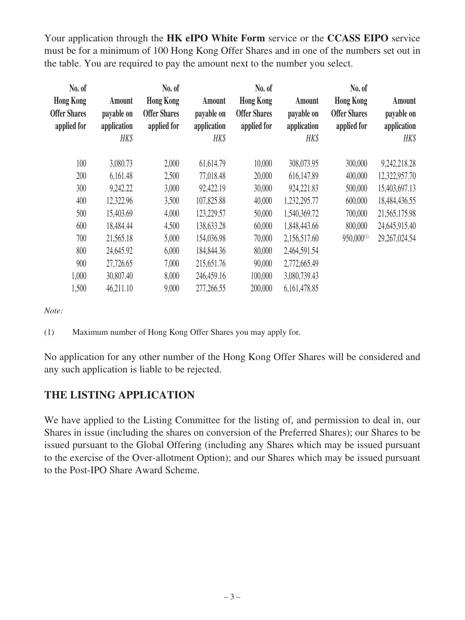Your application through the **HK eIPO White Form** service or the **CCASS EIPO** service must be for a minimum of 100 Hong Kong Offer Shares and in one of the numbers set out in the table. You are required to pay the amount next to the number you select.

| No. of                                                 |                                             | No. of                                                 |                                             | No. of                                                 |                                             | No. of                                                 |                                             |
|--------------------------------------------------------|---------------------------------------------|--------------------------------------------------------|---------------------------------------------|--------------------------------------------------------|---------------------------------------------|--------------------------------------------------------|---------------------------------------------|
| <b>Hong Kong</b><br><b>Offer Shares</b><br>applied for | Amount<br>payable on<br>application<br>HK\$ | <b>Hong Kong</b><br><b>Offer Shares</b><br>applied for | Amount<br>payable on<br>application<br>HK\$ | <b>Hong Kong</b><br><b>Offer Shares</b><br>applied for | Amount<br>payable on<br>application<br>HK\$ | <b>Hong Kong</b><br><b>Offer Shares</b><br>applied for | Amount<br>payable on<br>application<br>HK\$ |
| 100                                                    | 3,080.73                                    | 2,000                                                  | 61,614.79                                   | 10,000                                                 | 308,073.95                                  | 300,000                                                | 9,242,218.28                                |
| 200                                                    | 6,161.48                                    | 2,500                                                  | 77,018.48                                   | 20,000                                                 | 616,147.89                                  | 400,000                                                | 12,322,957.70                               |
| 300                                                    | 9,242.22                                    | 3,000                                                  | 92,422.19                                   | 30,000                                                 | 924,221.83                                  | 500,000                                                | 15,403,697.13                               |
| 400                                                    | 12,322.96                                   | 3,500                                                  | 107,825.88                                  | 40,000                                                 | 1,232,295.77                                | 600,000                                                | 18,484,436.55                               |
| 500                                                    | 15,403.69                                   | 4,000                                                  | 123,229.57                                  | 50,000                                                 | 1,540,369.72                                | 700,000                                                | 21,565,175.98                               |
| 600                                                    | 18,484.44                                   | 4,500                                                  | 138,633.28                                  | 60,000                                                 | 1,848,443.66                                | 800,000                                                | 24,645,915.40                               |
| 700                                                    | 21,565.18                                   | 5,000                                                  | 154,036.98                                  | 70,000                                                 | 2,156,517.60                                | $950,000^{(1)}$                                        | 29, 267, 024.54                             |
| 800                                                    | 24,645.92                                   | 6,000                                                  | 184,844.36                                  | 80,000                                                 | 2,464,591.54                                |                                                        |                                             |
| 900                                                    | 27,726.65                                   | 7,000                                                  | 215,651.76                                  | 90,000                                                 | 2,772,665.49                                |                                                        |                                             |
| 1,000                                                  | 30,807.40                                   | 8,000                                                  | 246,459.16                                  | 100,000                                                | 3,080,739.43                                |                                                        |                                             |
| 1,500                                                  | 46,211.10                                   | 9,000                                                  | 277,266.55                                  | 200,000                                                | 6,161,478.85                                |                                                        |                                             |
|                                                        |                                             |                                                        |                                             |                                                        |                                             |                                                        |                                             |

*Note:*

(1) Maximum number of Hong Kong Offer Shares you may apply for.

No application for any other number of the Hong Kong Offer Shares will be considered and any such application is liable to be rejected.

# **THE LISTING APPLICATION**

We have applied to the Listing Committee for the listing of, and permission to deal in, our Shares in issue (including the shares on conversion of the Preferred Shares); our Shares to be issued pursuant to the Global Offering (including any Shares which may be issued pursuant to the exercise of the Over-allotment Option); and our Shares which may be issued pursuant to the Post-IPO Share Award Scheme.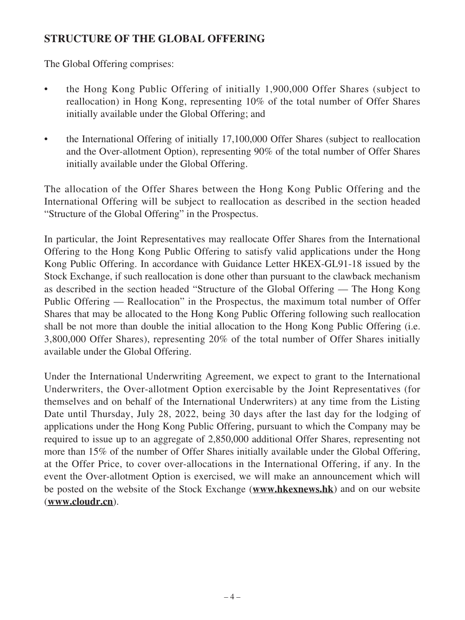# **STRUCTURE OF THE GLOBAL OFFERING**

The Global Offering comprises:

- the Hong Kong Public Offering of initially 1,900,000 Offer Shares (subject to reallocation) in Hong Kong, representing 10% of the total number of Offer Shares initially available under the Global Offering; and
- the International Offering of initially 17,100,000 Offer Shares (subject to reallocation and the Over-allotment Option), representing 90% of the total number of Offer Shares initially available under the Global Offering.

The allocation of the Offer Shares between the Hong Kong Public Offering and the International Offering will be subject to reallocation as described in the section headed "Structure of the Global Offering" in the Prospectus.

In particular, the Joint Representatives may reallocate Offer Shares from the International Offering to the Hong Kong Public Offering to satisfy valid applications under the Hong Kong Public Offering. In accordance with Guidance Letter HKEX-GL91-18 issued by the Stock Exchange, if such reallocation is done other than pursuant to the clawback mechanism as described in the section headed "Structure of the Global Offering — The Hong Kong Public Offering — Reallocation" in the Prospectus, the maximum total number of Offer Shares that may be allocated to the Hong Kong Public Offering following such reallocation shall be not more than double the initial allocation to the Hong Kong Public Offering (i.e. 3,800,000 Offer Shares), representing 20% of the total number of Offer Shares initially available under the Global Offering.

Under the International Underwriting Agreement, we expect to grant to the International Underwriters, the Over-allotment Option exercisable by the Joint Representatives (for themselves and on behalf of the International Underwriters) at any time from the Listing Date until Thursday, July 28, 2022, being 30 days after the last day for the lodging of applications under the Hong Kong Public Offering, pursuant to which the Company may be required to issue up to an aggregate of 2,850,000 additional Offer Shares, representing not more than 15% of the number of Offer Shares initially available under the Global Offering, at the Offer Price, to cover over-allocations in the International Offering, if any. In the event the Over-allotment Option is exercised, we will make an announcement which will be posted on the website of the Stock Exchange (**www.hkexnews.hk**) and on our website (**www.cloudr.cn**).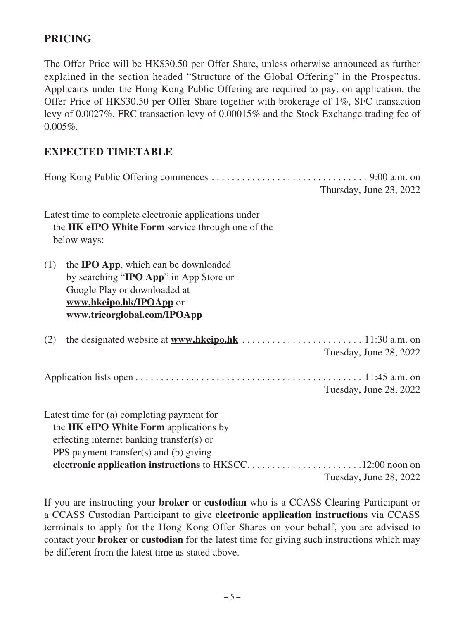## **PRICING**

The Offer Price will be HK\$30.50 per Offer Share, unless otherwise announced as further explained in the section headed "Structure of the Global Offering" in the Prospectus. Applicants under the Hong Kong Public Offering are required to pay, on application, the Offer Price of HK\$30.50 per Offer Share together with brokerage of 1%, SFC transaction levy of 0.0027%, FRC transaction levy of 0.00015% and the Stock Exchange trading fee of  $0.005\%$ .

#### **EXPECTED TIMETABLE**

|                                                                                                                                                                                                                                          | Thursday, June 23, 2022 |
|------------------------------------------------------------------------------------------------------------------------------------------------------------------------------------------------------------------------------------------|-------------------------|
| Latest time to complete electronic applications under<br>the HK eIPO White Form service through one of the<br>below ways:                                                                                                                |                         |
| (1)<br>the <b>IPO App</b> , which can be downloaded<br>by searching "IPO App" in App Store or<br>Google Play or downloaded at<br>www.hkeipo.hk/IPOApp or<br>www.tricorglobal.com/IPOApp                                                  |                         |
| the designated website at $www.hkeipo.hk \ldots \ldots \ldots \ldots \ldots \ldots \ldots \ldots 11:30 a.m. on$<br>(2)                                                                                                                   | Tuesday, June 28, 2022  |
|                                                                                                                                                                                                                                          | Tuesday, June 28, 2022  |
| Latest time for (a) completing payment for<br>the HK eIPO White Form applications by<br>effecting internet banking transfer(s) or<br>PPS payment transfer(s) and (b) giving<br>electronic application instructions to HKSCC12:00 noon on |                         |
|                                                                                                                                                                                                                                          | Tuesday, June 28, 2022  |

If you are instructing your **broker** or **custodian** who is a CCASS Clearing Participant or a CCASS Custodian Participant to give **electronic application instructions** via CCASS terminals to apply for the Hong Kong Offer Shares on your behalf, you are advised to contact your **broker** or **custodian** for the latest time for giving such instructions which may be different from the latest time as stated above.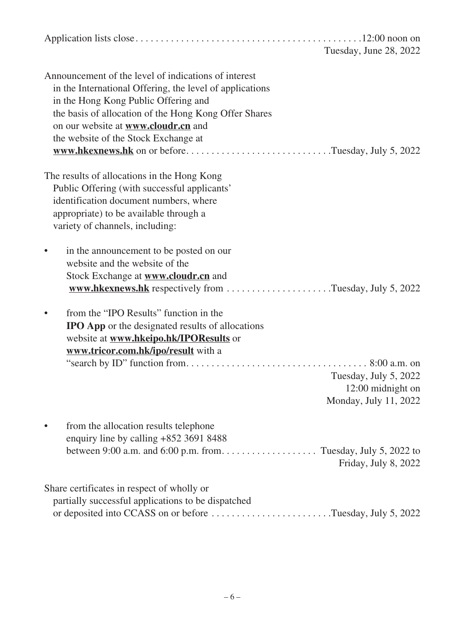| Tuesday, June 28, 2022                                                                                                                                                                                                                                                                                                                                       |
|--------------------------------------------------------------------------------------------------------------------------------------------------------------------------------------------------------------------------------------------------------------------------------------------------------------------------------------------------------------|
| Announcement of the level of indications of interest<br>in the International Offering, the level of applications<br>in the Hong Kong Public Offering and<br>the basis of allocation of the Hong Kong Offer Shares<br>on our website at <b>www.cloudr.cn</b> and<br>the website of the Stock Exchange at<br>www.hkexnews.hk on or beforeTuesday, July 5, 2022 |
| The results of allocations in the Hong Kong<br>Public Offering (with successful applicants'<br>identification document numbers, where<br>appropriate) to be available through a<br>variety of channels, including:                                                                                                                                           |
| in the announcement to be posted on our<br>website and the website of the<br>Stock Exchange at <b>www.cloudr.cn</b> and<br>www.hkexnews.hk respectively from Tuesday, July 5, 2022                                                                                                                                                                           |
| from the "IPO Results" function in the<br><b>IPO App</b> or the designated results of allocations<br>website at <b>www.hkeipo.hk/IPOResults</b> or<br>www.tricor.com.hk/ipo/result with a<br>Tuesday, July 5, 2022<br>12:00 midnight on<br>Monday, July 11, 2022                                                                                             |
| from the allocation results telephone<br>enquiry line by calling +852 3691 8488<br>Friday, July 8, 2022                                                                                                                                                                                                                                                      |
| Share certificates in respect of wholly or<br>partially successful applications to be dispatched<br>or deposited into CCASS on or before Tuesday, July 5, 2022                                                                                                                                                                                               |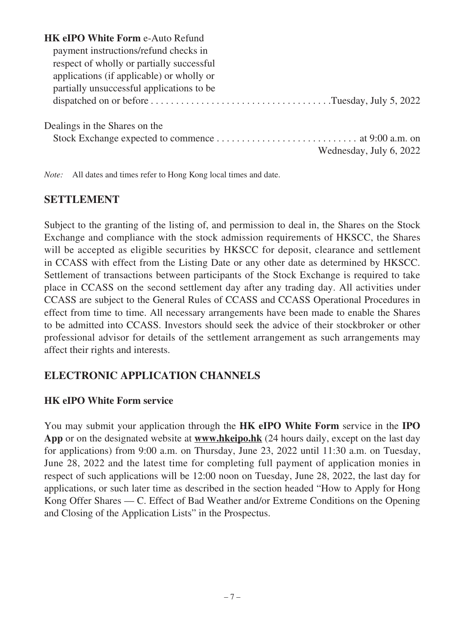| <b>HK eIPO White Form e-Auto Refund</b>   |
|-------------------------------------------|
| payment instructions/refund checks in     |
| respect of wholly or partially successful |
| applications (if applicable) or wholly or |
| partially unsuccessful applications to be |
|                                           |
| Dealings in the Shares on the             |
| Wednesday, July 6, 2022                   |

*Note:* All dates and times refer to Hong Kong local times and date.

## **SETTLEMENT**

Subject to the granting of the listing of, and permission to deal in, the Shares on the Stock Exchange and compliance with the stock admission requirements of HKSCC, the Shares will be accepted as eligible securities by HKSCC for deposit, clearance and settlement in CCASS with effect from the Listing Date or any other date as determined by HKSCC. Settlement of transactions between participants of the Stock Exchange is required to take place in CCASS on the second settlement day after any trading day. All activities under CCASS are subject to the General Rules of CCASS and CCASS Operational Procedures in effect from time to time. All necessary arrangements have been made to enable the Shares to be admitted into CCASS. Investors should seek the advice of their stockbroker or other professional advisor for details of the settlement arrangement as such arrangements may affect their rights and interests.

# **ELECTRONIC APPLICATION CHANNELS**

#### **HK eIPO White Form service**

You may submit your application through the **HK eIPO White Form** service in the **IPO App** or on the designated website at **www.hkeipo.hk** (24 hours daily, except on the last day for applications) from 9:00 a.m. on Thursday, June 23, 2022 until 11:30 a.m. on Tuesday, June 28, 2022 and the latest time for completing full payment of application monies in respect of such applications will be 12:00 noon on Tuesday, June 28, 2022, the last day for applications, or such later time as described in the section headed "How to Apply for Hong Kong Offer Shares — C. Effect of Bad Weather and/or Extreme Conditions on the Opening and Closing of the Application Lists" in the Prospectus.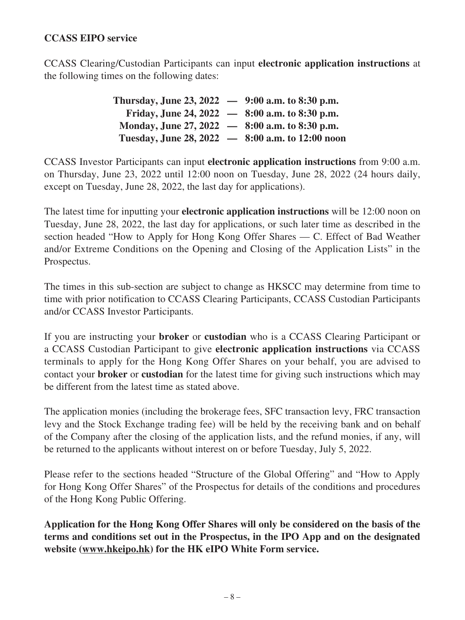#### **CCASS EIPO service**

CCASS Clearing/Custodian Participants can input **electronic application instructions** at the following times on the following dates:

> **Thursday, June 23, 2022 — 9:00 a.m. to 8:30 p.m. Friday, June 24, 2022 — 8:00 a.m. to 8:30 p.m. Monday, June 27, 2022 — 8:00 a.m. to 8:30 p.m. Tuesday, June 28, 2022 — 8:00 a.m. to 12:00 noon**

CCASS Investor Participants can input **electronic application instructions** from 9:00 a.m. on Thursday, June 23, 2022 until 12:00 noon on Tuesday, June 28, 2022 (24 hours daily, except on Tuesday, June 28, 2022, the last day for applications).

The latest time for inputting your **electronic application instructions** will be 12:00 noon on Tuesday, June 28, 2022, the last day for applications, or such later time as described in the section headed "How to Apply for Hong Kong Offer Shares — C. Effect of Bad Weather and/or Extreme Conditions on the Opening and Closing of the Application Lists" in the Prospectus.

The times in this sub-section are subject to change as HKSCC may determine from time to time with prior notification to CCASS Clearing Participants, CCASS Custodian Participants and/or CCASS Investor Participants.

If you are instructing your **broker** or **custodian** who is a CCASS Clearing Participant or a CCASS Custodian Participant to give **electronic application instructions** via CCASS terminals to apply for the Hong Kong Offer Shares on your behalf, you are advised to contact your **broker** or **custodian** for the latest time for giving such instructions which may be different from the latest time as stated above.

The application monies (including the brokerage fees, SFC transaction levy, FRC transaction levy and the Stock Exchange trading fee) will be held by the receiving bank and on behalf of the Company after the closing of the application lists, and the refund monies, if any, will be returned to the applicants without interest on or before Tuesday, July 5, 2022.

Please refer to the sections headed "Structure of the Global Offering" and "How to Apply for Hong Kong Offer Shares" of the Prospectus for details of the conditions and procedures of the Hong Kong Public Offering.

**Application for the Hong Kong Offer Shares will only be considered on the basis of the terms and conditions set out in the Prospectus, in the IPO App and on the designated website (www.hkeipo.hk) for the HK eIPO White Form service.**